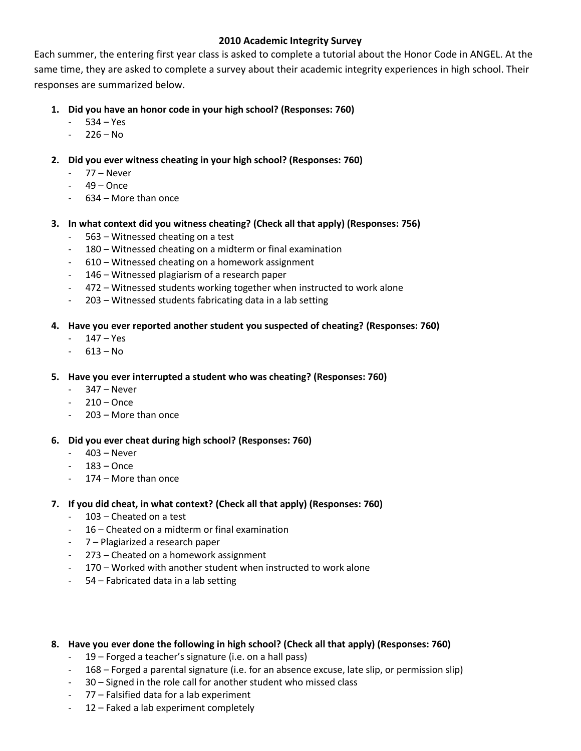# **2010 Academic Integrity Survey**

Each summer, the entering first year class is asked to complete a tutorial about the Honor Code in ANGEL. At the same time, they are asked to complete a survey about their academic integrity experiences in high school. Their responses are summarized below.

- **1. Did you have an honor code in your high school? (Responses: 760)**
	- $534 Yes$
	- $-226 No$
- **2. Did you ever witness cheating in your high school? (Responses: 760)**
	- 77 Never
	- $49 -$ Once
	- 634 More than once
- **3. In what context did you witness cheating? (Check all that apply) (Responses: 756)**
	- 563 Witnessed cheating on a test
	- 180 Witnessed cheating on a midterm or final examination
	- 610 Witnessed cheating on a homework assignment
	- 146 Witnessed plagiarism of a research paper
	- 472 Witnessed students working together when instructed to work alone
	- 203 Witnessed students fabricating data in a lab setting

# **4. Have you ever reported another student you suspected of cheating? (Responses: 760)**

- 147 Yes
- $613 No$
- **5. Have you ever interrupted a student who was cheating? (Responses: 760)**
	- 347 Never
	- $-210 -$ Once
	- $203$  More than once

## **6. Did you ever cheat during high school? (Responses: 760)**

- 403 Never
- $-183 -$ Once
- 174 More than once

## **7. If you did cheat, in what context? (Check all that apply) (Responses: 760)**

- 103 Cheated on a test
- 16 Cheated on a midterm or final examination
- 7 Plagiarized a research paper
- 273 Cheated on a homework assignment
- 170 Worked with another student when instructed to work alone
- 54 Fabricated data in a lab setting

## **8. Have you ever done the following in high school? (Check all that apply) (Responses: 760)**

- 19 Forged a teacher's signature (i.e. on a hall pass)
- 168 Forged a parental signature (i.e. for an absence excuse, late slip, or permission slip)
- 30 Signed in the role call for another student who missed class
- 77 Falsified data for a lab experiment
- 12 Faked a lab experiment completely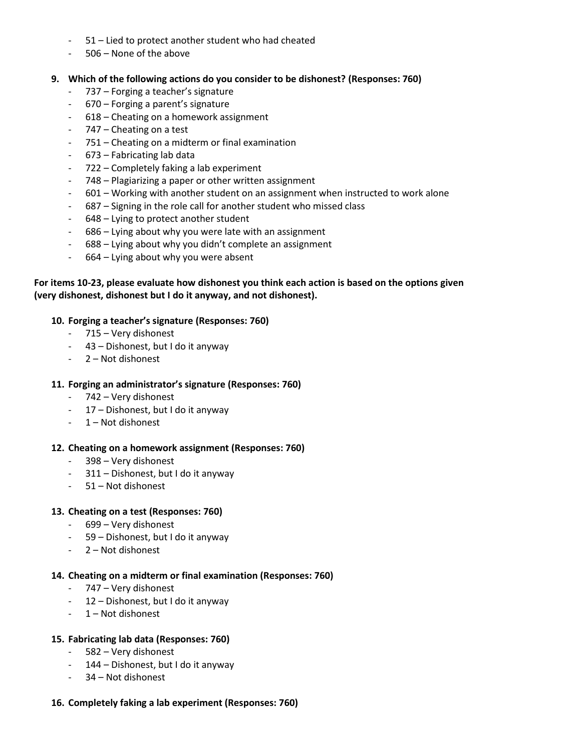- 51 Lied to protect another student who had cheated
- 506 None of the above

### **9. Which of the following actions do you consider to be dishonest? (Responses: 760)**

- 737 Forging a teacher's signature
- 670 Forging a parent's signature
- 618 Cheating on a homework assignment
- 747 Cheating on a test
- 751 Cheating on a midterm or final examination
- 673 Fabricating lab data
- 722 Completely faking a lab experiment
- 748 Plagiarizing a paper or other written assignment
- 601 Working with another student on an assignment when instructed to work alone
- 687 Signing in the role call for another student who missed class
- 648 Lying to protect another student
- 686 Lying about why you were late with an assignment
- 688 Lying about why you didn't complete an assignment
- 664 Lying about why you were absent

# **For items 10-23, please evaluate how dishonest you think each action is based on the options given (very dishonest, dishonest but I do it anyway, and not dishonest).**

### **10. Forging a teacher's signature (Responses: 760)**

- 715 Very dishonest
- 43 Dishonest, but I do it anyway
- 2 Not dishonest

#### **11. Forging an administrator's signature (Responses: 760)**

- 742 Very dishonest
- 17 Dishonest, but I do it anyway
- 1 Not dishonest

#### **12. Cheating on a homework assignment (Responses: 760)**

- 398 Very dishonest
- 311 Dishonest, but I do it anyway
- 51 Not dishonest

#### **13. Cheating on a test (Responses: 760)**

- 699 Very dishonest
- 59 Dishonest, but I do it anyway
- 2 Not dishonest

#### **14. Cheating on a midterm or final examination (Responses: 760)**

- 747 Very dishonest
- 12 Dishonest, but I do it anyway
- 1 Not dishonest

#### **15. Fabricating lab data (Responses: 760)**

- 582 Very dishonest
- 144 Dishonest, but I do it anyway
- 34 Not dishonest

#### **16. Completely faking a lab experiment (Responses: 760)**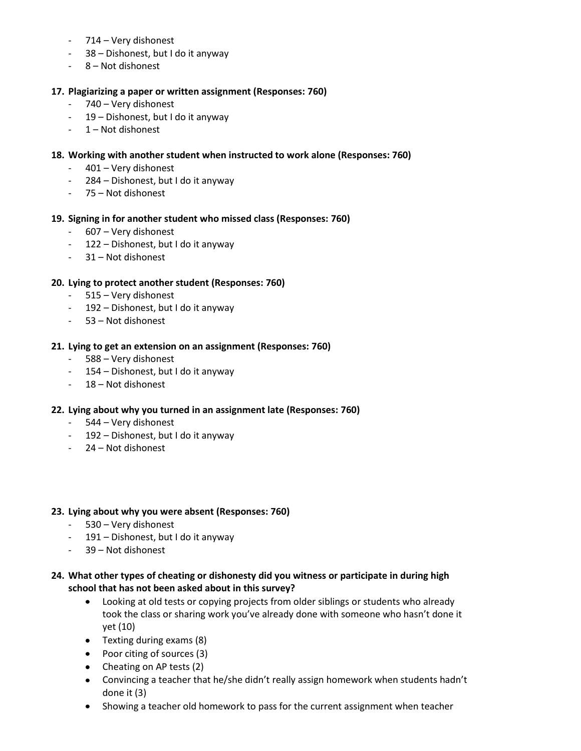- 714 Very dishonest
- 38 Dishonest, but I do it anyway
- 8 Not dishonest

# **17. Plagiarizing a paper or written assignment (Responses: 760)**

- 740 Very dishonest
- 19 Dishonest, but I do it anyway
- 1 Not dishonest

# **18. Working with another student when instructed to work alone (Responses: 760)**

- 401 Very dishonest
- 284 Dishonest, but I do it anyway
- 75 Not dishonest

## **19. Signing in for another student who missed class (Responses: 760)**

- 607 Very dishonest
- 122 Dishonest, but I do it anyway
- 31 Not dishonest

# **20. Lying to protect another student (Responses: 760)**

- 515 Very dishonest
- 192 Dishonest, but I do it anyway
- 53 Not dishonest

## **21. Lying to get an extension on an assignment (Responses: 760)**

- 588 Very dishonest
- 154 Dishonest, but I do it anyway
- 18 Not dishonest

## **22. Lying about why you turned in an assignment late (Responses: 760)**

- 544 Very dishonest
- 192 Dishonest, but I do it anyway
- 24 Not dishonest

## **23. Lying about why you were absent (Responses: 760)**

- 530 Very dishonest
- 191 Dishonest, but I do it anyway
- 39 Not dishonest

# **24. What other types of cheating or dishonesty did you witness or participate in during high school that has not been asked about in this survey?**

- Looking at old tests or copying projects from older siblings or students who already  $\bullet$ took the class or sharing work you've already done with someone who hasn't done it yet (10)
- Texting during exams (8)
- Poor citing of sources (3)
- Cheating on AP tests (2)
- Convincing a teacher that he/she didn't really assign homework when students hadn't done it (3)
- Showing a teacher old homework to pass for the current assignment when teacher